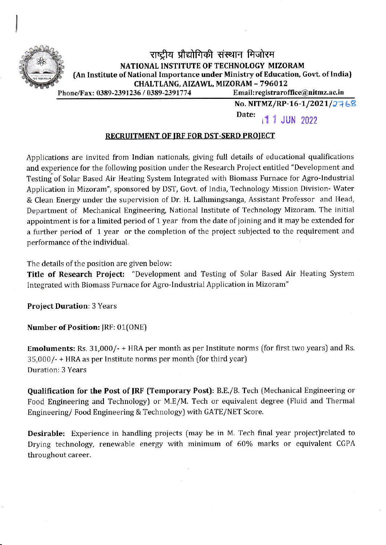

## Phone/Fax: 0389-2391236 / 0389-2391774 Email: registraroffice@nitmz.ac.in राष्ट्रीय प्रौद्योगिकी संस्थान मिजोरम NATIONAL INSTITUTE OF TECHNOLOGY MIZORAM (An Institute of National Importance under Ministry of Education, Govt. of India) CHALTLANG, AIZAWL, MIZORAM - 796012

No. NITMZ/RP-16-1/2021/2768

Date: 1 1 JUN 2022

## RECRUITMENT OF IRF FOR DST-SERD PROIECT

Applications are invited from Indian nationals, giving full details of educational qualifications and experience for the following position under the Research Project entitled "Development and Testing of Solar Based Air Heating System Integrated with Biomass Furnace for Agro-Industrial Application in Mizoram", sponsored by DST, Govt. of lndia, Technology Mission Division- Water & Clean Energy under the supervision of Dr. H. Lalhmingsanga, Assistant Professor and Head, Department of Mechanical Engineering, National Institute of Technology Mizoram. The initial appointment is for a limited period of 1 year from the date of joining and it may be extended for a further period of 1 year or the completion of the project subjected to the requirement and performance of the individual.

The details of the position are given below:

Title of Research Project: "Development and Testing of Solar Based Air Heating System Integrated with Biomass Furnace for Agro-Industrial Application in Mizoram"

Project Duration: 3 Years

Number of Position: JRF: 01(ONE)

Emoluments: Rs. 31,000/- + HRA per month as per lnstitute norms (for first two years) and Rs. 35,000/- + HRA as per Institute norms per month ffor third year) Duration: 3 Years

Qualification for the Post of IRF {Temporary Post): B.E./B. Tech (Mechanical Engineering or Food Engineering and Technology) or M.E/M. Tech or equivalent degree (Fluid and Thermal Engineering/Food Engineering & Technology) with GATE/NET Score.

Desirable: Experience in handling projects (may be in M. Tech final year project)related to Drying technology, renewable energy with minimum of 60% marks or equivalent CGPA throughout career.